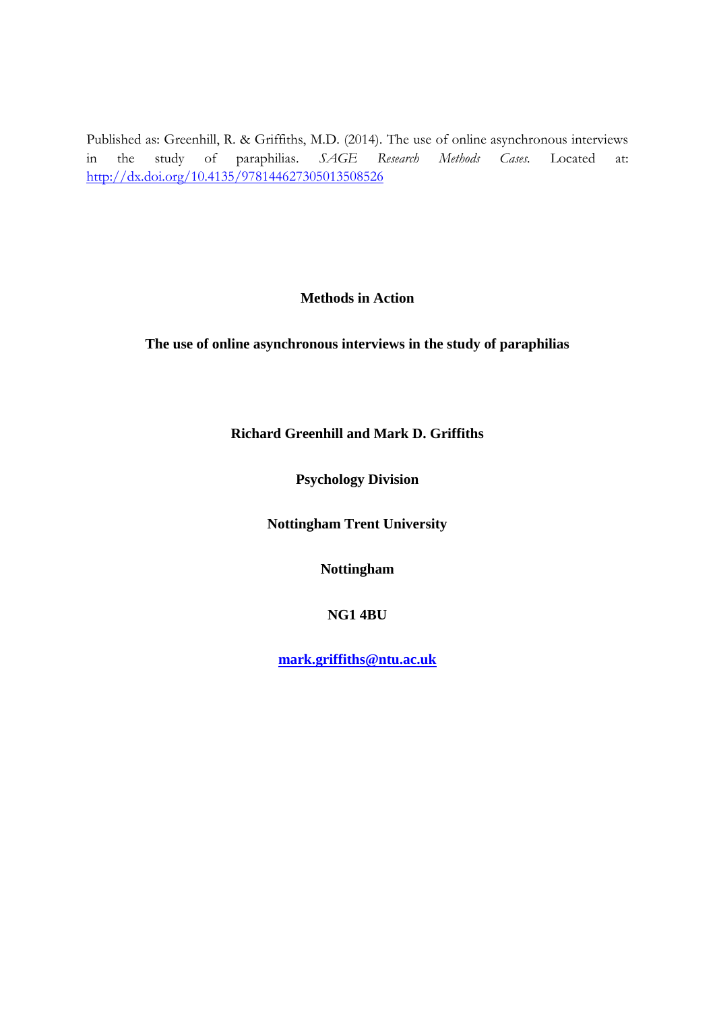Published as: Greenhill, R. & Griffiths, M.D. (2014). The use of online asynchronous interviews in the study of paraphilias. *SAGE Research Methods Cases.* Located at: <http://dx.doi.org/10.4135/978144627305013508526>

# **Methods in Action**

# **The use of online asynchronous interviews in the study of paraphilias**

**Richard Greenhill and Mark D. Griffiths**

**Psychology Division**

**Nottingham Trent University**

**Nottingham**

**NG1 4BU**

**[mark.griffiths@ntu.ac.uk](mailto:mark.griffiths@ntu.ac.uk)**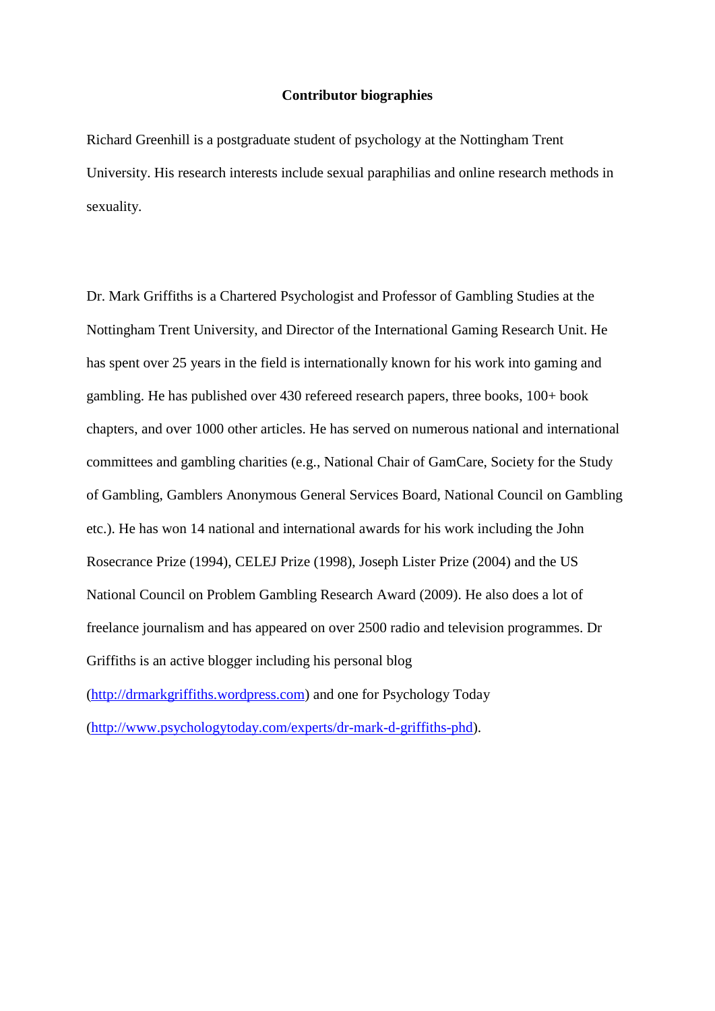## **Contributor biographies**

Richard Greenhill is a postgraduate student of psychology at the Nottingham Trent University. His research interests include sexual paraphilias and online research methods in sexuality.

Dr. Mark Griffiths is a Chartered Psychologist and Professor of Gambling Studies at the Nottingham Trent University, and Director of the International Gaming Research Unit. He has spent over 25 years in the field is internationally known for his work into gaming and gambling. He has published over 430 refereed research papers, three books, 100+ book chapters, and over 1000 other articles. He has served on numerous national and international committees and gambling charities (e.g., National Chair of GamCare, Society for the Study of Gambling, Gamblers Anonymous General Services Board, National Council on Gambling etc.). He has won 14 national and international awards for his work including the John Rosecrance Prize (1994), CELEJ Prize (1998), Joseph Lister Prize (2004) and the US National Council on Problem Gambling Research Award (2009). He also does a lot of freelance journalism and has appeared on over 2500 radio and television programmes. Dr Griffiths is an active blogger including his personal blog [\(http://drmarkgriffiths.wordpress.com\)](http://drmarkgriffiths.wordpress.com/) and one for Psychology Today [\(http://www.psychologytoday.com/experts/dr-mark-d-griffiths-phd\)](http://www.psychologytoday.com/experts/dr-mark-d-griffiths-phd).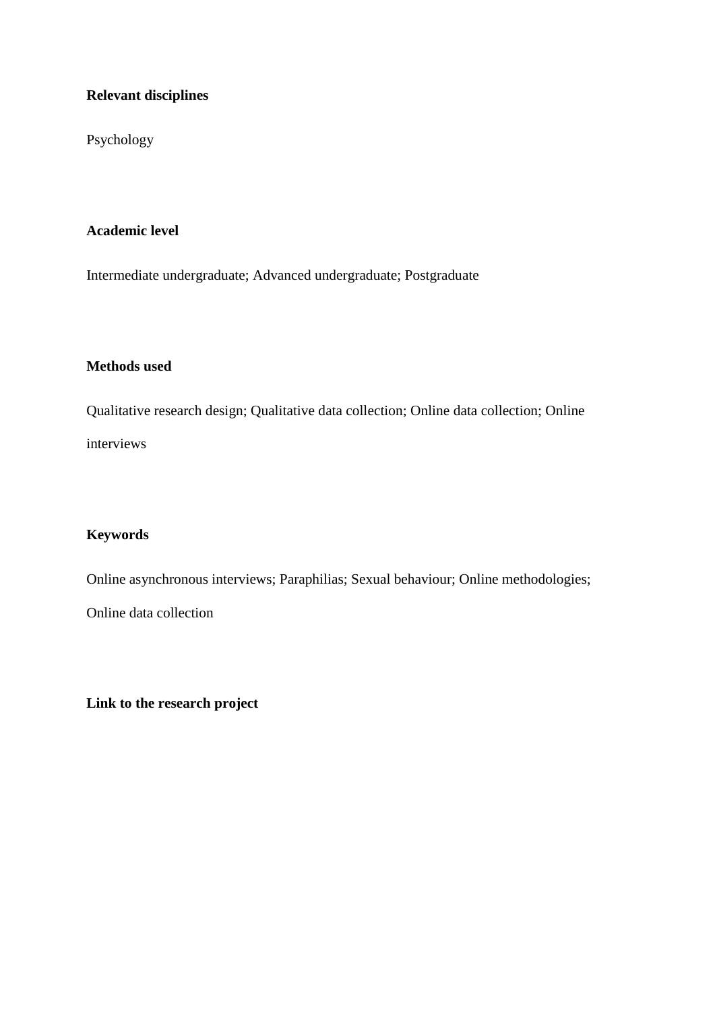# **Relevant disciplines**

Psychology

# **Academic level**

Intermediate undergraduate; Advanced undergraduate; Postgraduate

# **Methods used**

Qualitative research design; Qualitative data collection; Online data collection; Online interviews

# **Keywords**

Online asynchronous interviews; Paraphilias; Sexual behaviour; Online methodologies; Online data collection

**Link to the research project**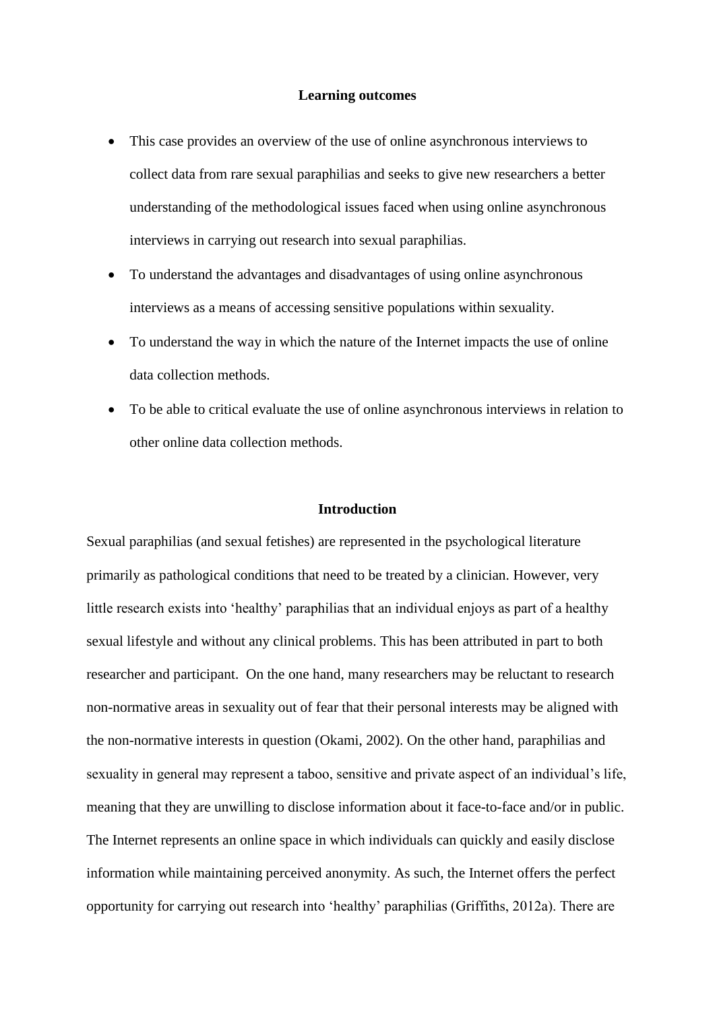## **Learning outcomes**

- This case provides an overview of the use of online asynchronous interviews to collect data from rare sexual paraphilias and seeks to give new researchers a better understanding of the methodological issues faced when using online asynchronous interviews in carrying out research into sexual paraphilias.
- To understand the advantages and disadvantages of using online asynchronous interviews as a means of accessing sensitive populations within sexuality.
- To understand the way in which the nature of the Internet impacts the use of online data collection methods.
- To be able to critical evaluate the use of online asynchronous interviews in relation to other online data collection methods.

# **Introduction**

Sexual paraphilias (and sexual fetishes) are represented in the psychological literature primarily as pathological conditions that need to be treated by a clinician. However, very little research exists into 'healthy' paraphilias that an individual enjoys as part of a healthy sexual lifestyle and without any clinical problems. This has been attributed in part to both researcher and participant. On the one hand, many researchers may be reluctant to research non-normative areas in sexuality out of fear that their personal interests may be aligned with the non-normative interests in question (Okami, 2002). On the other hand, paraphilias and sexuality in general may represent a taboo, sensitive and private aspect of an individual's life, meaning that they are unwilling to disclose information about it face-to-face and/or in public. The Internet represents an online space in which individuals can quickly and easily disclose information while maintaining perceived anonymity. As such, the Internet offers the perfect opportunity for carrying out research into 'healthy' paraphilias (Griffiths, 2012a). There are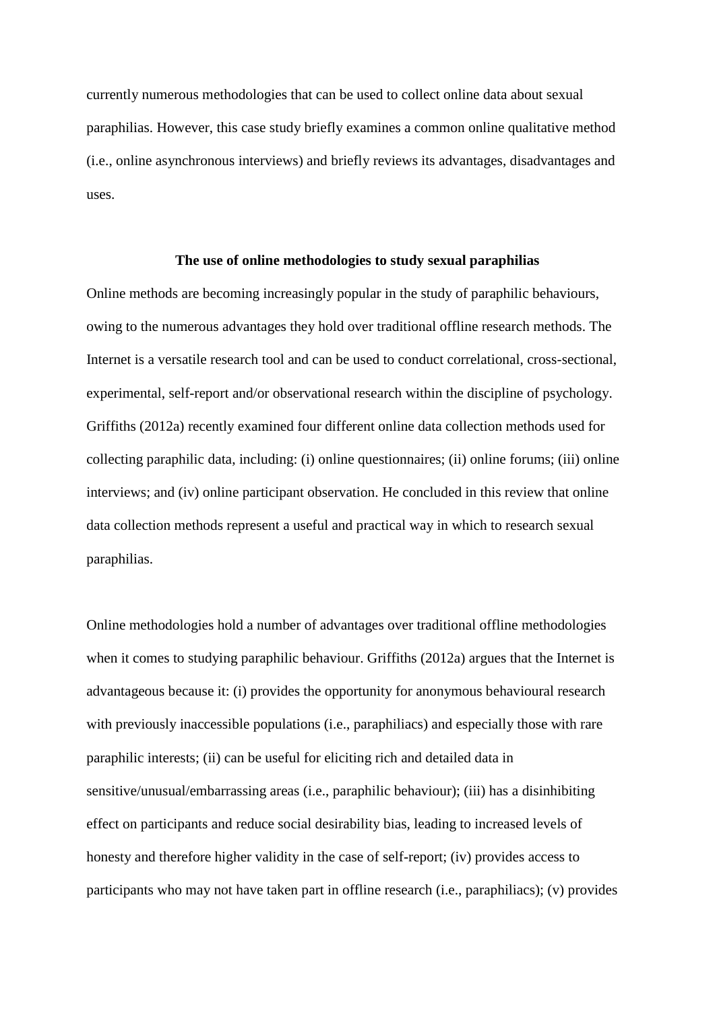currently numerous methodologies that can be used to collect online data about sexual paraphilias. However, this case study briefly examines a common online qualitative method (i.e., online asynchronous interviews) and briefly reviews its advantages, disadvantages and uses.

#### **The use of online methodologies to study sexual paraphilias**

Online methods are becoming increasingly popular in the study of paraphilic behaviours, owing to the numerous advantages they hold over traditional offline research methods. The Internet is a versatile research tool and can be used to conduct correlational, cross-sectional, experimental, self-report and/or observational research within the discipline of psychology. Griffiths (2012a) recently examined four different online data collection methods used for collecting paraphilic data, including: (i) online questionnaires; (ii) online forums; (iii) online interviews; and (iv) online participant observation. He concluded in this review that online data collection methods represent a useful and practical way in which to research sexual paraphilias.

Online methodologies hold a number of advantages over traditional offline methodologies when it comes to studying paraphilic behaviour. Griffiths (2012a) argues that the Internet is advantageous because it: (i) provides the opportunity for anonymous behavioural research with previously inaccessible populations (i.e., paraphiliacs) and especially those with rare paraphilic interests; (ii) can be useful for eliciting rich and detailed data in sensitive/unusual/embarrassing areas (i.e., paraphilic behaviour); (iii) has a disinhibiting effect on participants and reduce social desirability bias, leading to increased levels of honesty and therefore higher validity in the case of self-report; (iv) provides access to participants who may not have taken part in offline research (i.e., paraphiliacs); (v) provides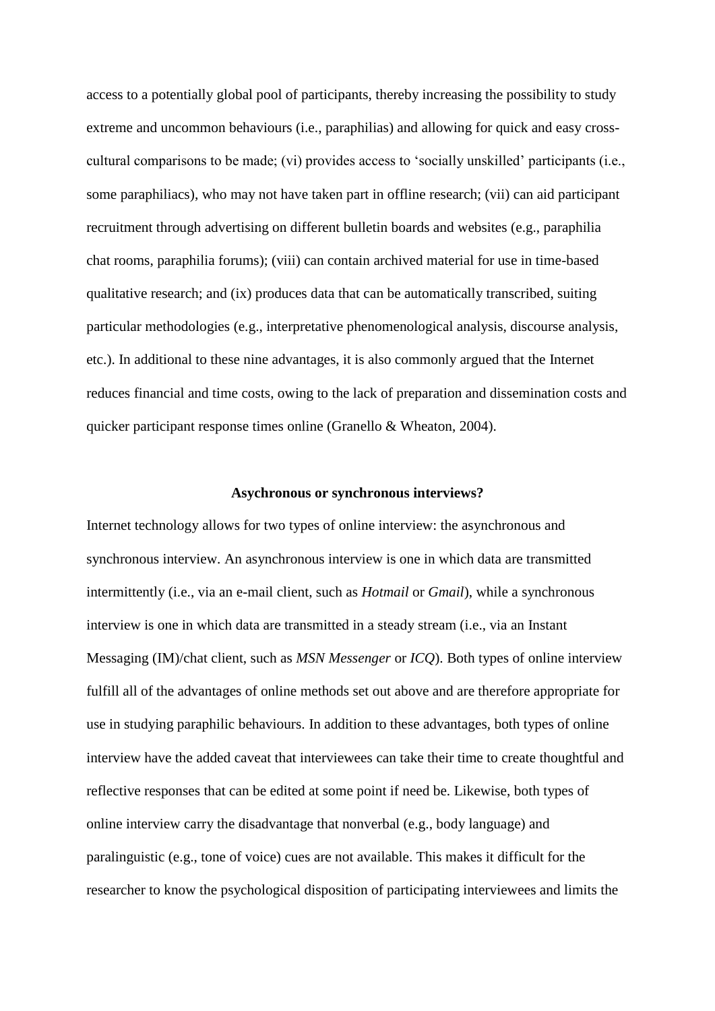access to a potentially global pool of participants, thereby increasing the possibility to study extreme and uncommon behaviours (i.e., paraphilias) and allowing for quick and easy crosscultural comparisons to be made; (vi) provides access to 'socially unskilled' participants (i.e., some paraphiliacs), who may not have taken part in offline research; (vii) can aid participant recruitment through advertising on different bulletin boards and websites (e.g., paraphilia chat rooms, paraphilia forums); (viii) can contain archived material for use in time-based qualitative research; and (ix) produces data that can be automatically transcribed, suiting particular methodologies (e.g., interpretative phenomenological analysis, discourse analysis, etc.). In additional to these nine advantages, it is also commonly argued that the Internet reduces financial and time costs, owing to the lack of preparation and dissemination costs and quicker participant response times online (Granello & Wheaton, 2004).

## **Asychronous or synchronous interviews?**

Internet technology allows for two types of online interview: the asynchronous and synchronous interview. An asynchronous interview is one in which data are transmitted intermittently (i.e., via an e-mail client, such as *Hotmail* or *Gmail*), while a synchronous interview is one in which data are transmitted in a steady stream (i.e., via an Instant Messaging (IM)/chat client, such as *MSN Messenger* or *ICQ*). Both types of online interview fulfill all of the advantages of online methods set out above and are therefore appropriate for use in studying paraphilic behaviours. In addition to these advantages, both types of online interview have the added caveat that interviewees can take their time to create thoughtful and reflective responses that can be edited at some point if need be. Likewise, both types of online interview carry the disadvantage that nonverbal (e.g., body language) and paralinguistic (e.g., tone of voice) cues are not available. This makes it difficult for the researcher to know the psychological disposition of participating interviewees and limits the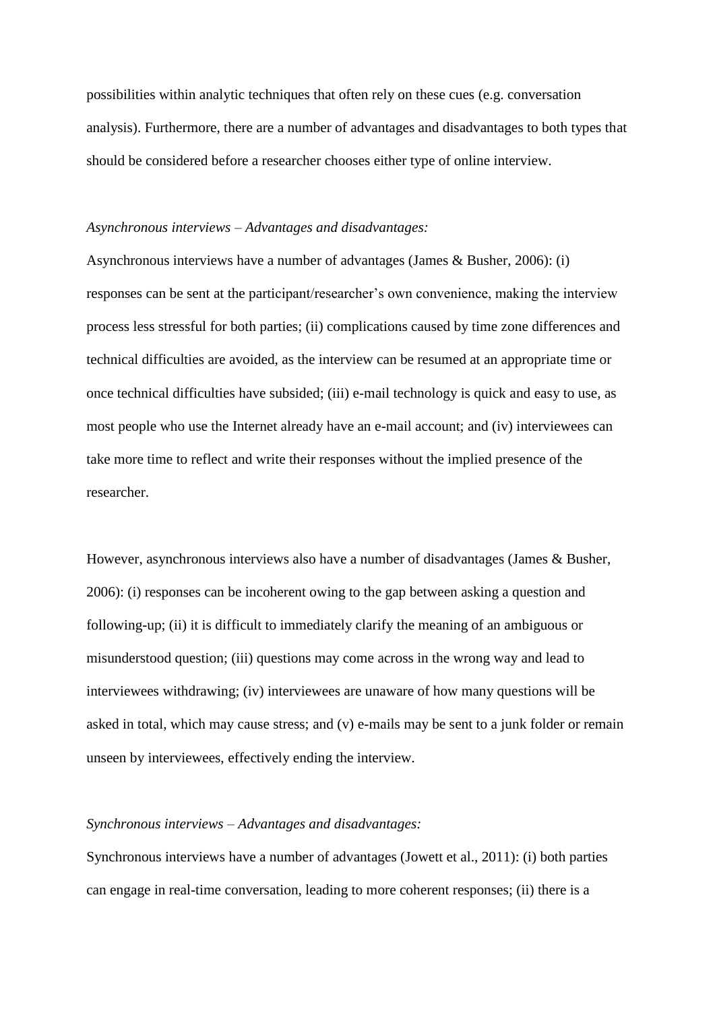possibilities within analytic techniques that often rely on these cues (e.g. conversation analysis). Furthermore, there are a number of advantages and disadvantages to both types that should be considered before a researcher chooses either type of online interview.

#### *Asynchronous interviews – Advantages and disadvantages:*

Asynchronous interviews have a number of advantages (James & Busher, 2006): (i) responses can be sent at the participant/researcher's own convenience, making the interview process less stressful for both parties; (ii) complications caused by time zone differences and technical difficulties are avoided, as the interview can be resumed at an appropriate time or once technical difficulties have subsided; (iii) e-mail technology is quick and easy to use, as most people who use the Internet already have an e-mail account; and (iv) interviewees can take more time to reflect and write their responses without the implied presence of the researcher.

However, asynchronous interviews also have a number of disadvantages (James & Busher, 2006): (i) responses can be incoherent owing to the gap between asking a question and following-up; (ii) it is difficult to immediately clarify the meaning of an ambiguous or misunderstood question; (iii) questions may come across in the wrong way and lead to interviewees withdrawing; (iv) interviewees are unaware of how many questions will be asked in total, which may cause stress; and (v) e-mails may be sent to a junk folder or remain unseen by interviewees, effectively ending the interview.

# *Synchronous interviews – Advantages and disadvantages:*

Synchronous interviews have a number of advantages (Jowett et al., 2011): (i) both parties can engage in real-time conversation, leading to more coherent responses; (ii) there is a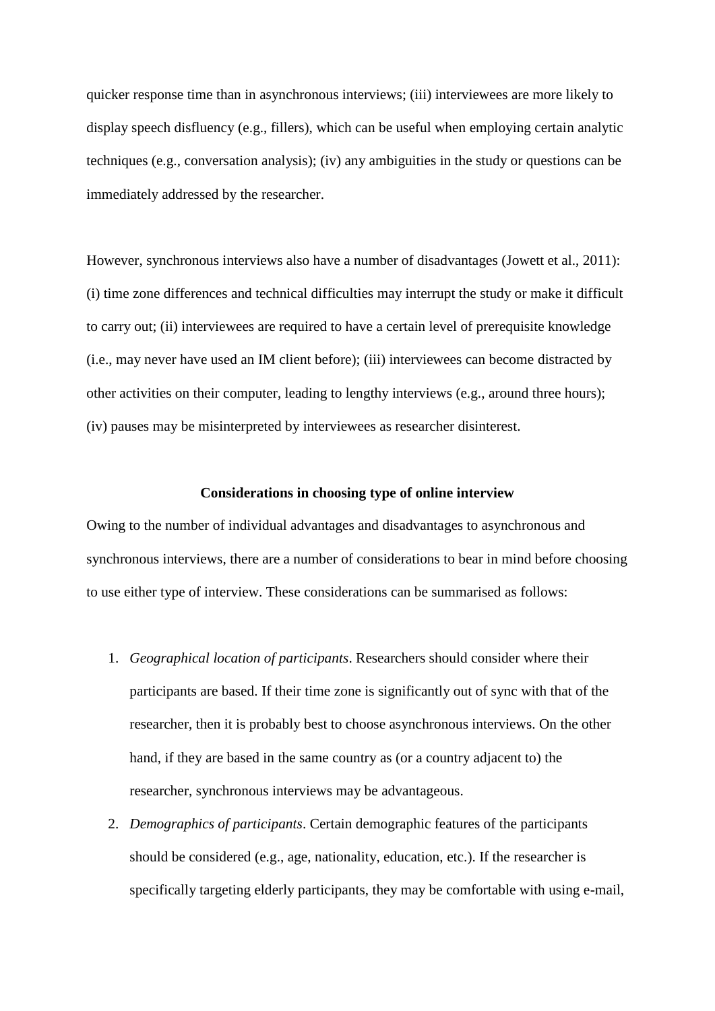quicker response time than in asynchronous interviews; (iii) interviewees are more likely to display speech disfluency (e.g., fillers), which can be useful when employing certain analytic techniques (e.g., conversation analysis); (iv) any ambiguities in the study or questions can be immediately addressed by the researcher.

However, synchronous interviews also have a number of disadvantages (Jowett et al., 2011): (i) time zone differences and technical difficulties may interrupt the study or make it difficult to carry out; (ii) interviewees are required to have a certain level of prerequisite knowledge (i.e., may never have used an IM client before); (iii) interviewees can become distracted by other activities on their computer, leading to lengthy interviews (e.g., around three hours); (iv) pauses may be misinterpreted by interviewees as researcher disinterest.

# **Considerations in choosing type of online interview**

Owing to the number of individual advantages and disadvantages to asynchronous and synchronous interviews, there are a number of considerations to bear in mind before choosing to use either type of interview. These considerations can be summarised as follows:

- 1. *Geographical location of participants*. Researchers should consider where their participants are based. If their time zone is significantly out of sync with that of the researcher, then it is probably best to choose asynchronous interviews. On the other hand, if they are based in the same country as (or a country adjacent to) the researcher, synchronous interviews may be advantageous.
- 2. *Demographics of participants*. Certain demographic features of the participants should be considered (e.g., age, nationality, education, etc.). If the researcher is specifically targeting elderly participants, they may be comfortable with using e-mail,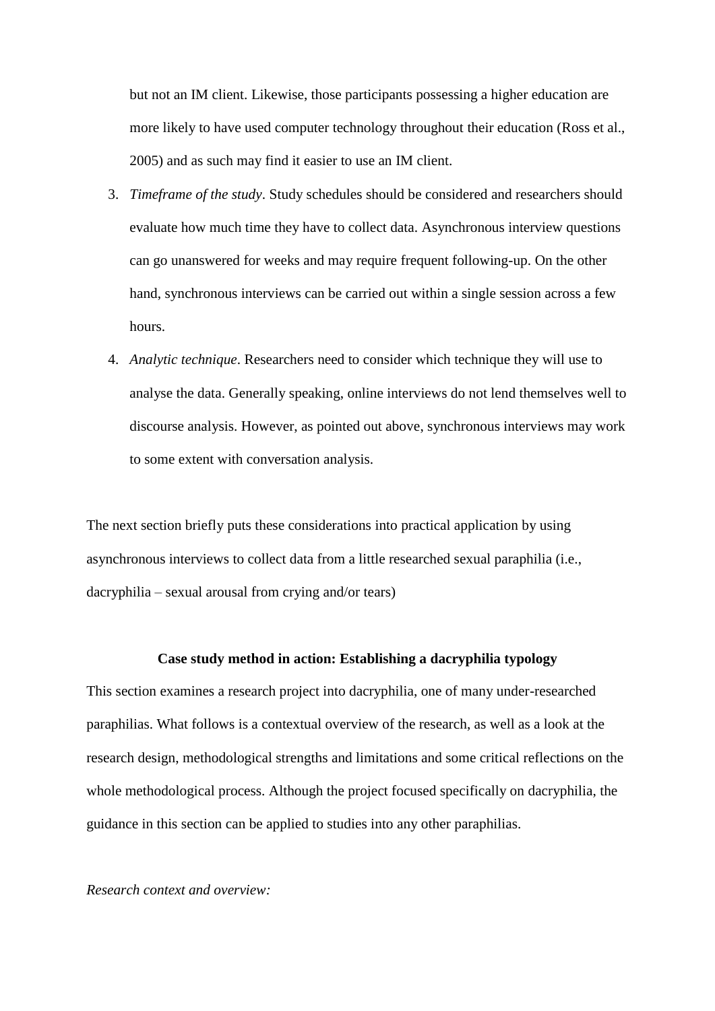but not an IM client. Likewise, those participants possessing a higher education are more likely to have used computer technology throughout their education (Ross et al., 2005) and as such may find it easier to use an IM client.

- 3. *Timeframe of the study*. Study schedules should be considered and researchers should evaluate how much time they have to collect data. Asynchronous interview questions can go unanswered for weeks and may require frequent following-up. On the other hand, synchronous interviews can be carried out within a single session across a few hours.
- 4. *Analytic technique*. Researchers need to consider which technique they will use to analyse the data. Generally speaking, online interviews do not lend themselves well to discourse analysis. However, as pointed out above, synchronous interviews may work to some extent with conversation analysis.

The next section briefly puts these considerations into practical application by using asynchronous interviews to collect data from a little researched sexual paraphilia (i.e., dacryphilia – sexual arousal from crying and/or tears)

## **Case study method in action: Establishing a dacryphilia typology**

This section examines a research project into dacryphilia, one of many under-researched paraphilias. What follows is a contextual overview of the research, as well as a look at the research design, methodological strengths and limitations and some critical reflections on the whole methodological process. Although the project focused specifically on dacryphilia, the guidance in this section can be applied to studies into any other paraphilias.

# *Research context and overview:*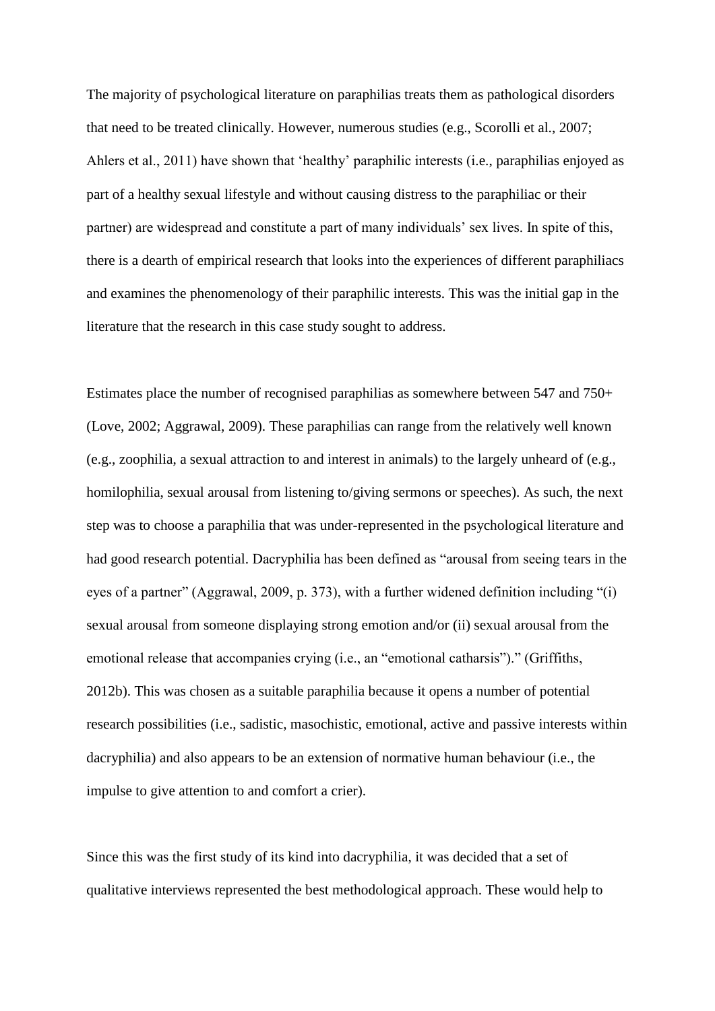The majority of psychological literature on paraphilias treats them as pathological disorders that need to be treated clinically. However, numerous studies (e.g., Scorolli et al., 2007; Ahlers et al., 2011) have shown that 'healthy' paraphilic interests (i.e., paraphilias enjoyed as part of a healthy sexual lifestyle and without causing distress to the paraphiliac or their partner) are widespread and constitute a part of many individuals' sex lives. In spite of this, there is a dearth of empirical research that looks into the experiences of different paraphiliacs and examines the phenomenology of their paraphilic interests. This was the initial gap in the literature that the research in this case study sought to address.

Estimates place the number of recognised paraphilias as somewhere between 547 and 750+ (Love, 2002; Aggrawal, 2009). These paraphilias can range from the relatively well known (e.g., zoophilia, a sexual attraction to and interest in animals) to the largely unheard of (e.g., homilophilia, sexual arousal from listening to/giving sermons or speeches). As such, the next step was to choose a paraphilia that was under-represented in the psychological literature and had good research potential. Dacryphilia has been defined as "arousal from seeing tears in the eyes of a partner" (Aggrawal, 2009, p. 373), with a further widened definition including "(i) sexual arousal from someone displaying strong emotion and/or (ii) sexual arousal from the emotional release that accompanies crying (i.e., an "emotional catharsis")." (Griffiths, 2012b). This was chosen as a suitable paraphilia because it opens a number of potential research possibilities (i.e., sadistic, masochistic, emotional, active and passive interests within dacryphilia) and also appears to be an extension of normative human behaviour (i.e., the impulse to give attention to and comfort a crier).

Since this was the first study of its kind into dacryphilia, it was decided that a set of qualitative interviews represented the best methodological approach. These would help to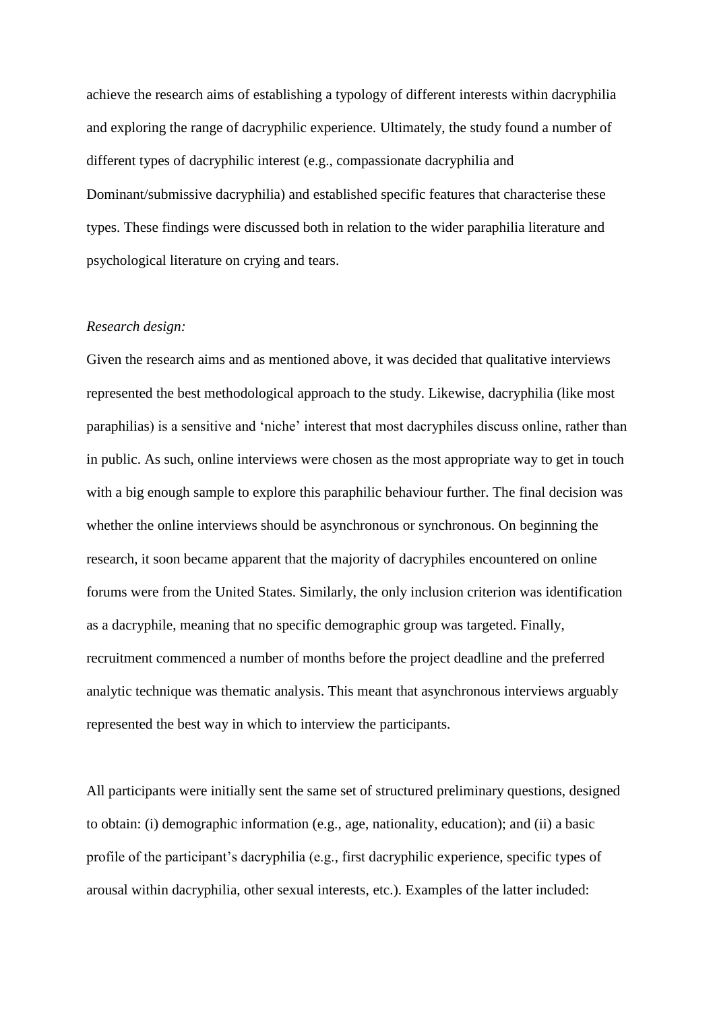achieve the research aims of establishing a typology of different interests within dacryphilia and exploring the range of dacryphilic experience. Ultimately, the study found a number of different types of dacryphilic interest (e.g., compassionate dacryphilia and Dominant/submissive dacryphilia) and established specific features that characterise these types. These findings were discussed both in relation to the wider paraphilia literature and psychological literature on crying and tears.

## *Research design:*

Given the research aims and as mentioned above, it was decided that qualitative interviews represented the best methodological approach to the study. Likewise, dacryphilia (like most paraphilias) is a sensitive and 'niche' interest that most dacryphiles discuss online, rather than in public. As such, online interviews were chosen as the most appropriate way to get in touch with a big enough sample to explore this paraphilic behaviour further. The final decision was whether the online interviews should be asynchronous or synchronous. On beginning the research, it soon became apparent that the majority of dacryphiles encountered on online forums were from the United States. Similarly, the only inclusion criterion was identification as a dacryphile, meaning that no specific demographic group was targeted. Finally, recruitment commenced a number of months before the project deadline and the preferred analytic technique was thematic analysis. This meant that asynchronous interviews arguably represented the best way in which to interview the participants.

All participants were initially sent the same set of structured preliminary questions, designed to obtain: (i) demographic information (e.g., age, nationality, education); and (ii) a basic profile of the participant's dacryphilia (e.g., first dacryphilic experience, specific types of arousal within dacryphilia, other sexual interests, etc.). Examples of the latter included: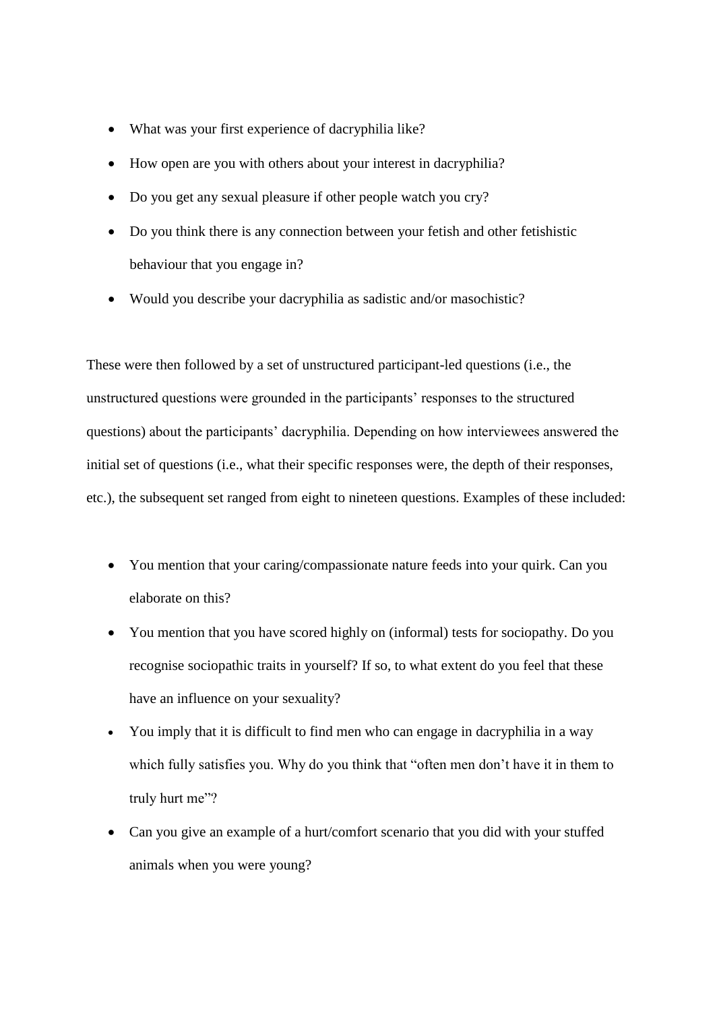- What was your first experience of dacryphilia like?
- How open are you with others about your interest in dacryphilia?
- Do you get any sexual pleasure if other people watch you cry?
- Do you think there is any connection between your fetish and other fetishistic behaviour that you engage in?
- Would you describe your dacryphilia as sadistic and/or masochistic?

These were then followed by a set of unstructured participant-led questions (i.e., the unstructured questions were grounded in the participants' responses to the structured questions) about the participants' dacryphilia. Depending on how interviewees answered the initial set of questions (i.e., what their specific responses were, the depth of their responses, etc.), the subsequent set ranged from eight to nineteen questions. Examples of these included:

- You mention that your caring/compassionate nature feeds into your quirk. Can you elaborate on this?
- You mention that you have scored highly on (informal) tests for sociopathy. Do you recognise sociopathic traits in yourself? If so, to what extent do you feel that these have an influence on your sexuality?
- You imply that it is difficult to find men who can engage in dacryphilia in a way which fully satisfies you. Why do you think that "often men don't have it in them to truly hurt me"?
- Can you give an example of a hurt/comfort scenario that you did with your stuffed animals when you were young?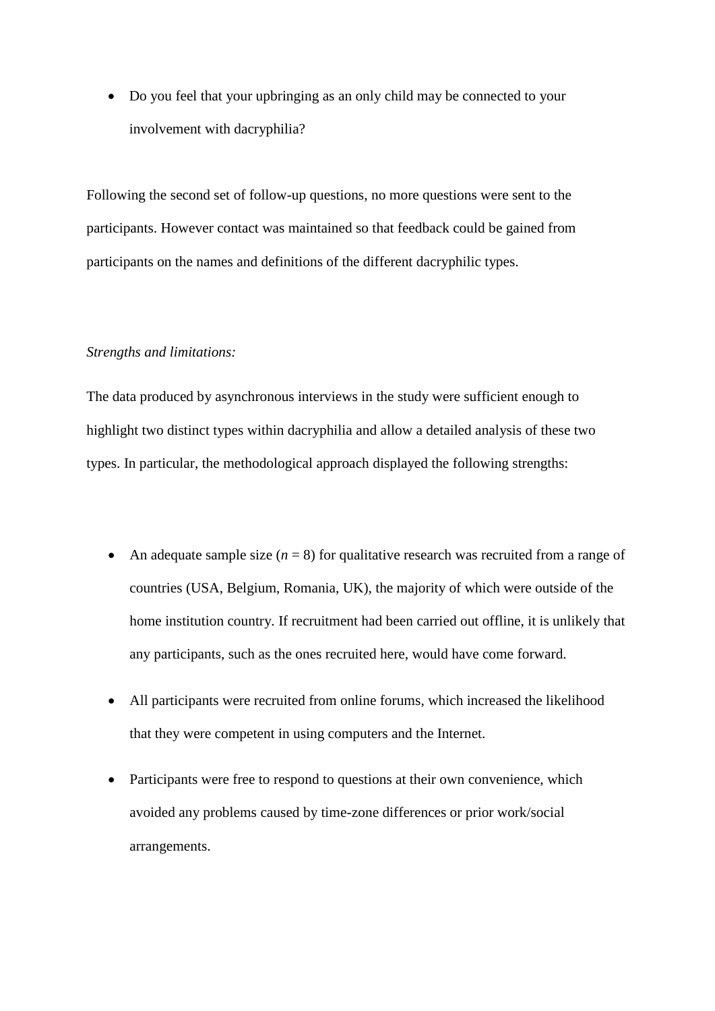• Do you feel that your upbringing as an only child may be connected to your involvement with dacryphilia?

Following the second set of follow-up questions, no more questions were sent to the participants. However contact was maintained so that feedback could be gained from participants on the names and definitions of the different dacryphilic types.

## *Strengths and limitations:*

The data produced by asynchronous interviews in the study were sufficient enough to highlight two distinct types within dacryphilia and allow a detailed analysis of these two types. In particular, the methodological approach displayed the following strengths:

- An adequate sample size  $(n = 8)$  for qualitative research was recruited from a range of countries (USA, Belgium, Romania, UK), the majority of which were outside of the home institution country. If recruitment had been carried out offline, it is unlikely that any participants, such as the ones recruited here, would have come forward.
- All participants were recruited from online forums, which increased the likelihood that they were competent in using computers and the Internet.
- Participants were free to respond to questions at their own convenience, which avoided any problems caused by time-zone differences or prior work/social arrangements.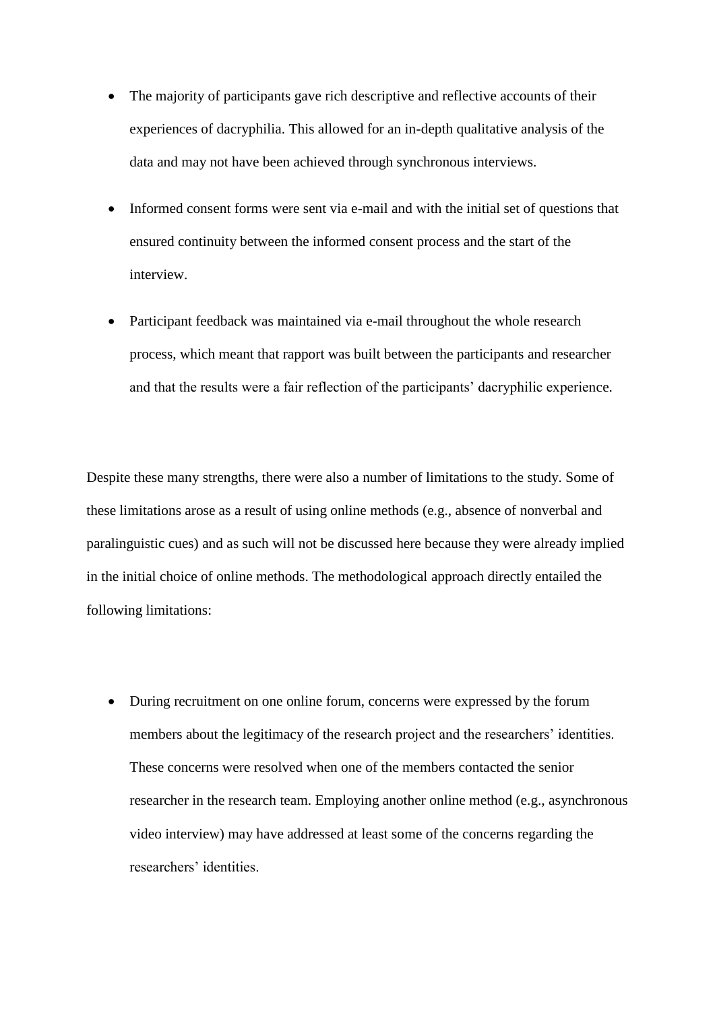- The majority of participants gave rich descriptive and reflective accounts of their experiences of dacryphilia. This allowed for an in-depth qualitative analysis of the data and may not have been achieved through synchronous interviews.
- Informed consent forms were sent via e-mail and with the initial set of questions that ensured continuity between the informed consent process and the start of the interview.
- Participant feedback was maintained via e-mail throughout the whole research process, which meant that rapport was built between the participants and researcher and that the results were a fair reflection of the participants' dacryphilic experience.

Despite these many strengths, there were also a number of limitations to the study. Some of these limitations arose as a result of using online methods (e.g., absence of nonverbal and paralinguistic cues) and as such will not be discussed here because they were already implied in the initial choice of online methods. The methodological approach directly entailed the following limitations:

 During recruitment on one online forum, concerns were expressed by the forum members about the legitimacy of the research project and the researchers' identities. These concerns were resolved when one of the members contacted the senior researcher in the research team. Employing another online method (e.g., asynchronous video interview) may have addressed at least some of the concerns regarding the researchers' identities.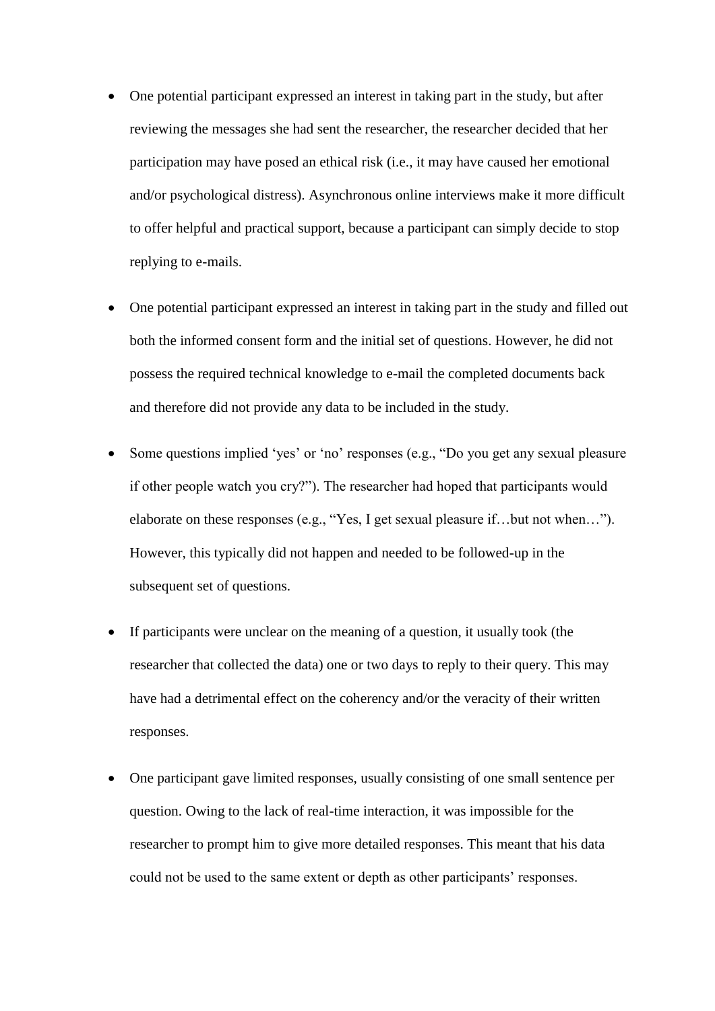- One potential participant expressed an interest in taking part in the study, but after reviewing the messages she had sent the researcher, the researcher decided that her participation may have posed an ethical risk (i.e., it may have caused her emotional and/or psychological distress). Asynchronous online interviews make it more difficult to offer helpful and practical support, because a participant can simply decide to stop replying to e-mails.
- One potential participant expressed an interest in taking part in the study and filled out both the informed consent form and the initial set of questions. However, he did not possess the required technical knowledge to e-mail the completed documents back and therefore did not provide any data to be included in the study.
- Some questions implied 'yes' or 'no' responses (e.g., "Do you get any sexual pleasure if other people watch you cry?"). The researcher had hoped that participants would elaborate on these responses (e.g., "Yes, I get sexual pleasure if…but not when…"). However, this typically did not happen and needed to be followed-up in the subsequent set of questions.
- If participants were unclear on the meaning of a question, it usually took (the researcher that collected the data) one or two days to reply to their query. This may have had a detrimental effect on the coherency and/or the veracity of their written responses.
- One participant gave limited responses, usually consisting of one small sentence per question. Owing to the lack of real-time interaction, it was impossible for the researcher to prompt him to give more detailed responses. This meant that his data could not be used to the same extent or depth as other participants' responses.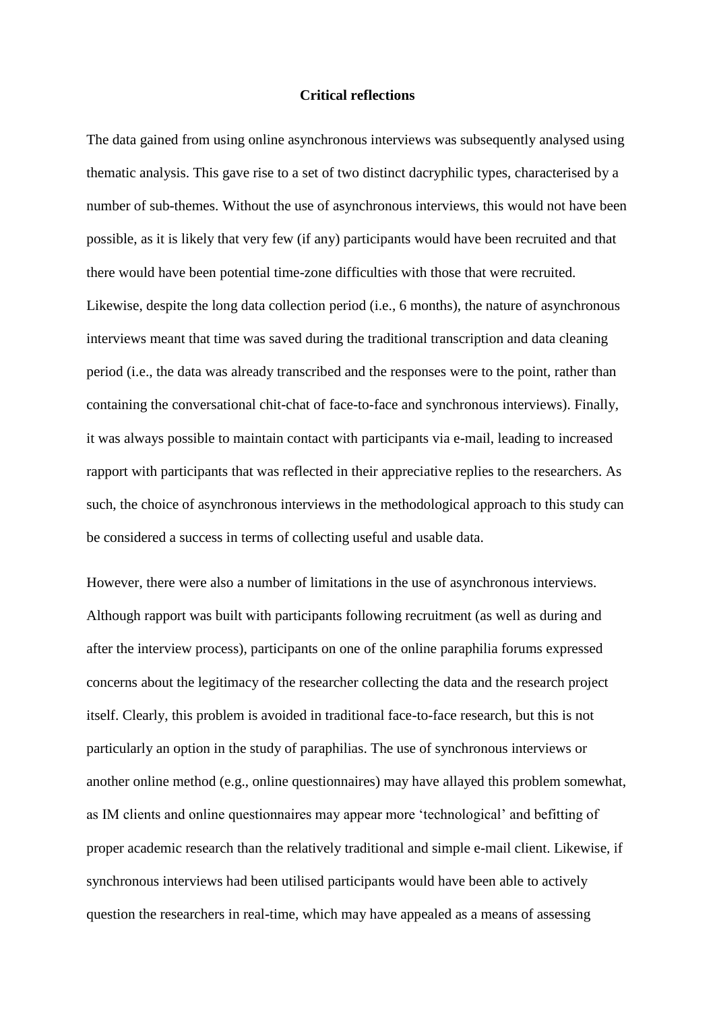### **Critical reflections**

The data gained from using online asynchronous interviews was subsequently analysed using thematic analysis. This gave rise to a set of two distinct dacryphilic types, characterised by a number of sub-themes. Without the use of asynchronous interviews, this would not have been possible, as it is likely that very few (if any) participants would have been recruited and that there would have been potential time-zone difficulties with those that were recruited. Likewise, despite the long data collection period (i.e., 6 months), the nature of asynchronous interviews meant that time was saved during the traditional transcription and data cleaning period (i.e., the data was already transcribed and the responses were to the point, rather than containing the conversational chit-chat of face-to-face and synchronous interviews). Finally, it was always possible to maintain contact with participants via e-mail, leading to increased rapport with participants that was reflected in their appreciative replies to the researchers. As such, the choice of asynchronous interviews in the methodological approach to this study can be considered a success in terms of collecting useful and usable data.

However, there were also a number of limitations in the use of asynchronous interviews. Although rapport was built with participants following recruitment (as well as during and after the interview process), participants on one of the online paraphilia forums expressed concerns about the legitimacy of the researcher collecting the data and the research project itself. Clearly, this problem is avoided in traditional face-to-face research, but this is not particularly an option in the study of paraphilias. The use of synchronous interviews or another online method (e.g., online questionnaires) may have allayed this problem somewhat, as IM clients and online questionnaires may appear more 'technological' and befitting of proper academic research than the relatively traditional and simple e-mail client. Likewise, if synchronous interviews had been utilised participants would have been able to actively question the researchers in real-time, which may have appealed as a means of assessing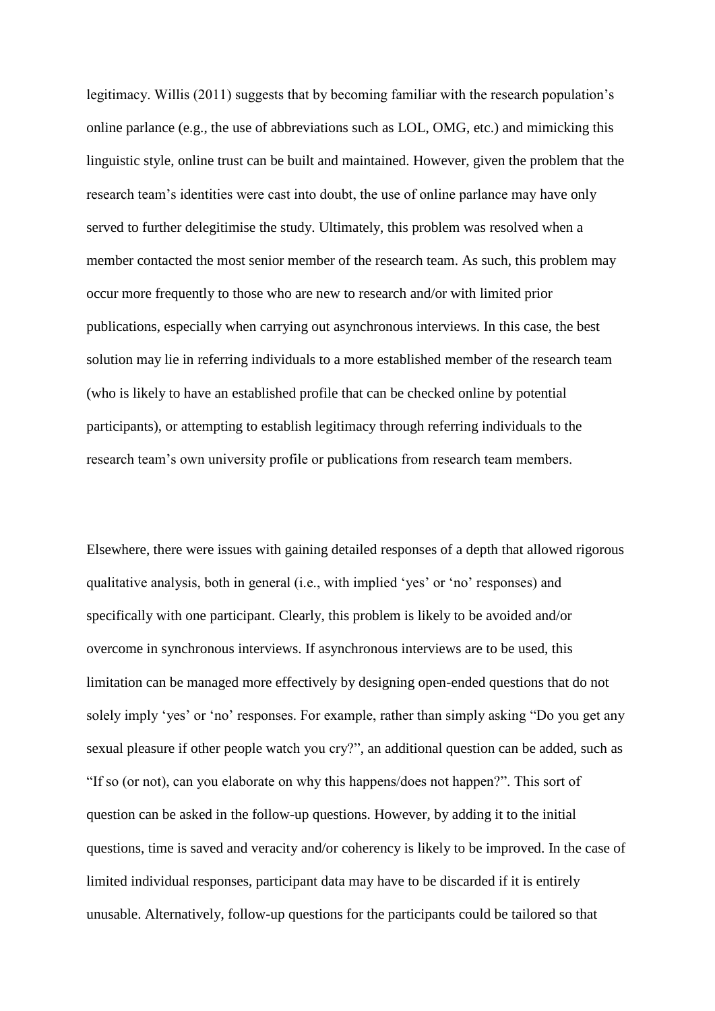legitimacy. Willis (2011) suggests that by becoming familiar with the research population's online parlance (e.g., the use of abbreviations such as LOL, OMG, etc.) and mimicking this linguistic style, online trust can be built and maintained. However, given the problem that the research team's identities were cast into doubt, the use of online parlance may have only served to further delegitimise the study. Ultimately, this problem was resolved when a member contacted the most senior member of the research team. As such, this problem may occur more frequently to those who are new to research and/or with limited prior publications, especially when carrying out asynchronous interviews. In this case, the best solution may lie in referring individuals to a more established member of the research team (who is likely to have an established profile that can be checked online by potential participants), or attempting to establish legitimacy through referring individuals to the research team's own university profile or publications from research team members.

Elsewhere, there were issues with gaining detailed responses of a depth that allowed rigorous qualitative analysis, both in general (i.e., with implied 'yes' or 'no' responses) and specifically with one participant. Clearly, this problem is likely to be avoided and/or overcome in synchronous interviews. If asynchronous interviews are to be used, this limitation can be managed more effectively by designing open-ended questions that do not solely imply 'yes' or 'no' responses. For example, rather than simply asking "Do you get any sexual pleasure if other people watch you cry?", an additional question can be added, such as "If so (or not), can you elaborate on why this happens/does not happen?". This sort of question can be asked in the follow-up questions. However, by adding it to the initial questions, time is saved and veracity and/or coherency is likely to be improved. In the case of limited individual responses, participant data may have to be discarded if it is entirely unusable. Alternatively, follow-up questions for the participants could be tailored so that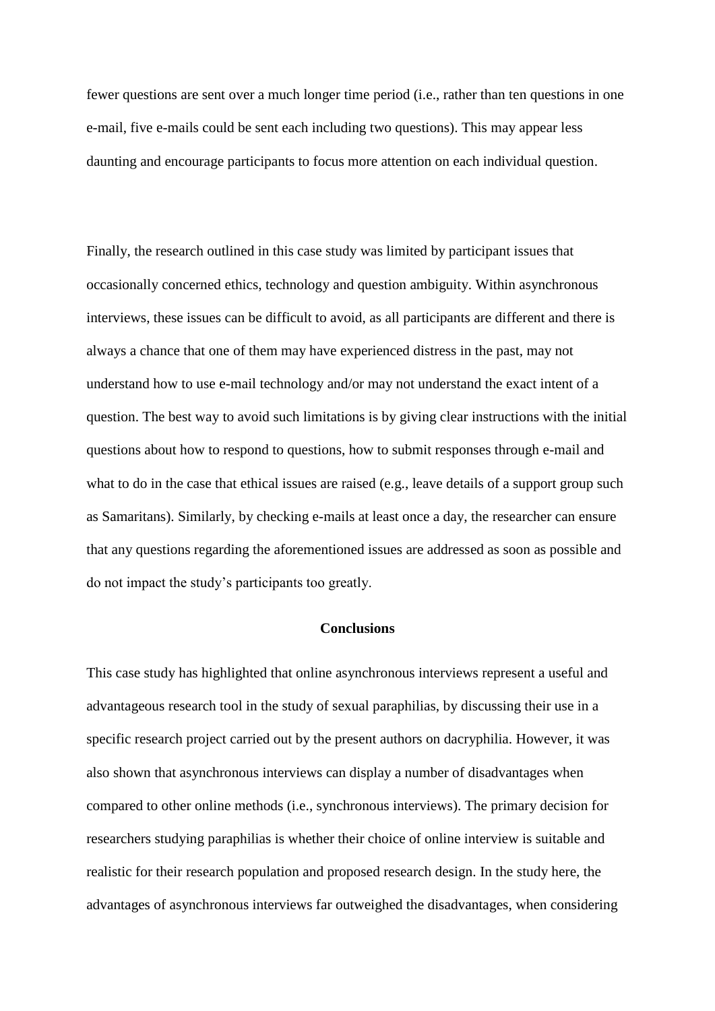fewer questions are sent over a much longer time period (i.e., rather than ten questions in one e-mail, five e-mails could be sent each including two questions). This may appear less daunting and encourage participants to focus more attention on each individual question.

Finally, the research outlined in this case study was limited by participant issues that occasionally concerned ethics, technology and question ambiguity. Within asynchronous interviews, these issues can be difficult to avoid, as all participants are different and there is always a chance that one of them may have experienced distress in the past, may not understand how to use e-mail technology and/or may not understand the exact intent of a question. The best way to avoid such limitations is by giving clear instructions with the initial questions about how to respond to questions, how to submit responses through e-mail and what to do in the case that ethical issues are raised (e.g., leave details of a support group such as Samaritans). Similarly, by checking e-mails at least once a day, the researcher can ensure that any questions regarding the aforementioned issues are addressed as soon as possible and do not impact the study's participants too greatly.

# **Conclusions**

This case study has highlighted that online asynchronous interviews represent a useful and advantageous research tool in the study of sexual paraphilias, by discussing their use in a specific research project carried out by the present authors on dacryphilia. However, it was also shown that asynchronous interviews can display a number of disadvantages when compared to other online methods (i.e., synchronous interviews). The primary decision for researchers studying paraphilias is whether their choice of online interview is suitable and realistic for their research population and proposed research design. In the study here, the advantages of asynchronous interviews far outweighed the disadvantages, when considering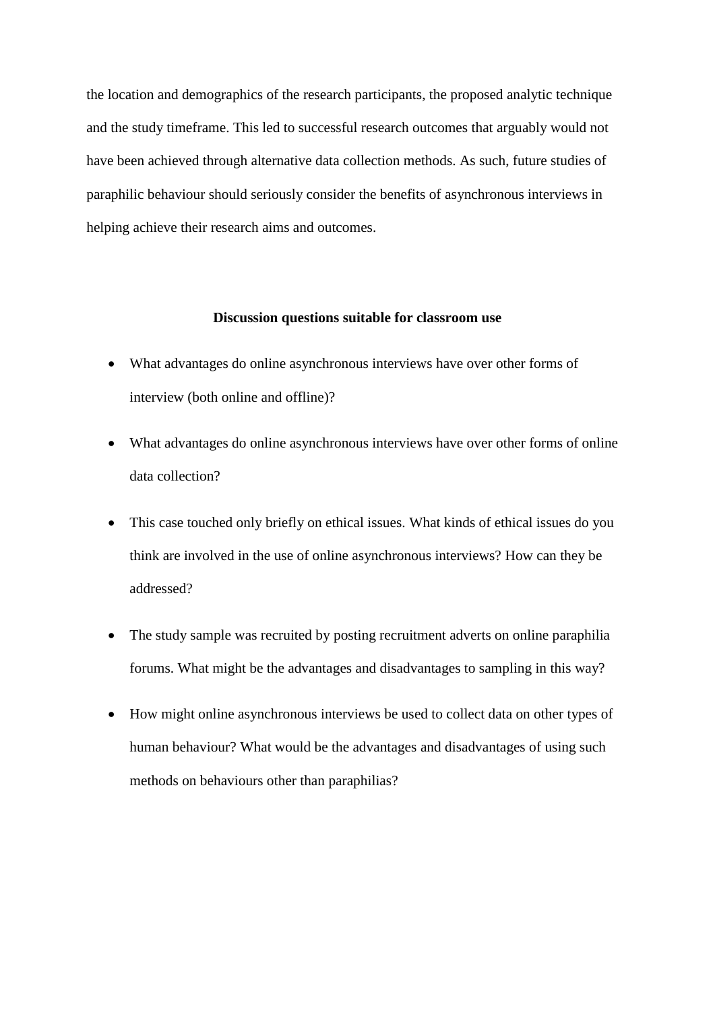the location and demographics of the research participants, the proposed analytic technique and the study timeframe. This led to successful research outcomes that arguably would not have been achieved through alternative data collection methods. As such, future studies of paraphilic behaviour should seriously consider the benefits of asynchronous interviews in helping achieve their research aims and outcomes.

### **Discussion questions suitable for classroom use**

- What advantages do online asynchronous interviews have over other forms of interview (both online and offline)?
- What advantages do online asynchronous interviews have over other forms of online data collection?
- This case touched only briefly on ethical issues. What kinds of ethical issues do you think are involved in the use of online asynchronous interviews? How can they be addressed?
- The study sample was recruited by posting recruitment adverts on online paraphilia forums. What might be the advantages and disadvantages to sampling in this way?
- How might online asynchronous interviews be used to collect data on other types of human behaviour? What would be the advantages and disadvantages of using such methods on behaviours other than paraphilias?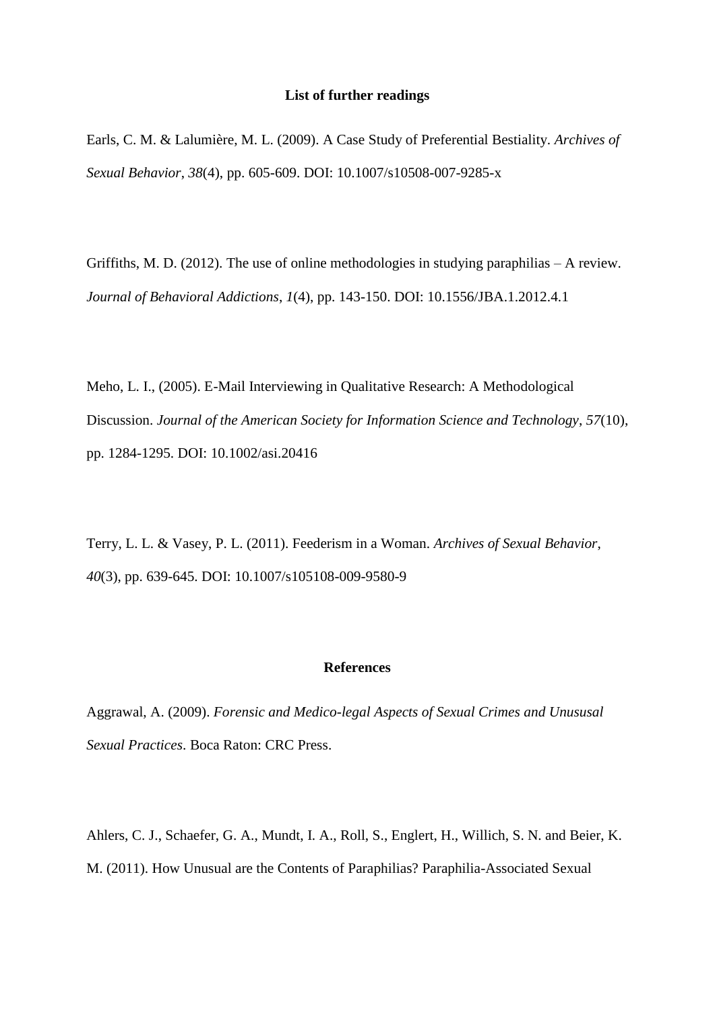#### **List of further readings**

Earls, C. M. & Lalumière, M. L. (2009). A Case Study of Preferential Bestiality. *Archives of Sexual Behavior*, *38*(4), pp. 605-609. DOI: 10.1007/s10508-007-9285-x

Griffiths, M. D. (2012). The use of online methodologies in studying paraphilias – A review. *Journal of Behavioral Addictions*, *1*(4), pp. 143-150. DOI: 10.1556/JBA.1.2012.4.1

Meho, L. I., (2005). E-Mail Interviewing in Qualitative Research: A Methodological Discussion. *Journal of the American Society for Information Science and Technology*, *57*(10), pp. 1284-1295. DOI: 10.1002/asi.20416

Terry, L. L. & Vasey, P. L. (2011). Feederism in a Woman. *Archives of Sexual Behavior*, *40*(3), pp. 639-645. DOI: 10.1007/s105108-009-9580-9

#### **References**

Aggrawal, A. (2009). *Forensic and Medico-legal Aspects of Sexual Crimes and Unususal Sexual Practices*. Boca Raton: CRC Press.

Ahlers, C. J., Schaefer, G. A., Mundt, I. A., Roll, S., Englert, H., Willich, S. N. and Beier, K. M. (2011). How Unusual are the Contents of Paraphilias? Paraphilia-Associated Sexual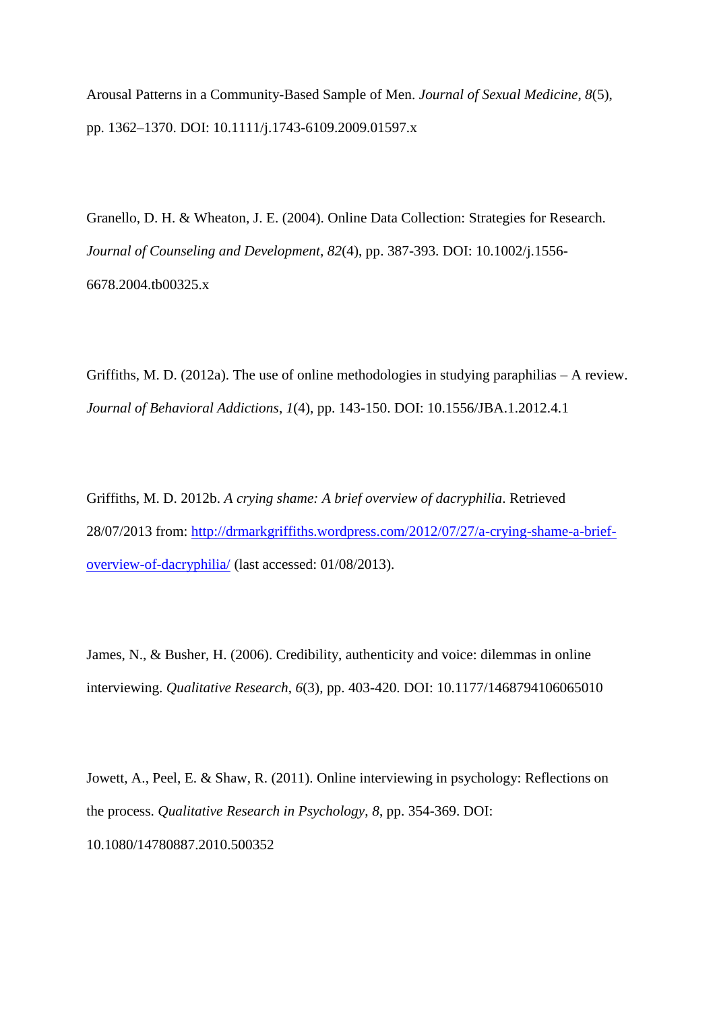Arousal Patterns in a Community-Based Sample of Men. *Journal of Sexual Medicine*, *8*(5), pp. 1362–1370. DOI: 10.1111/j.1743-6109.2009.01597.x

Granello, D. H. & Wheaton, J. E. (2004). Online Data Collection: Strategies for Research. *Journal of Counseling and Development*, *82*(4), pp. 387-393. DOI: 10.1002/j.1556- 6678.2004.tb00325.x

Griffiths, M. D. (2012a). The use of online methodologies in studying paraphilias – A review. *Journal of Behavioral Addictions*, *1*(4), pp. 143-150. DOI: 10.1556/JBA.1.2012.4.1

Griffiths, M. D. 2012b. *A crying shame: A brief overview of dacryphilia*. Retrieved 28/07/2013 from: [http://drmarkgriffiths.wordpress.com/2012/07/27/a-crying-shame-a-brief](http://drmarkgriffiths.wordpress.com/2012/07/27/a-crying-shame-a-brief-overview-of-dacryphilia/)[overview-of-dacryphilia/](http://drmarkgriffiths.wordpress.com/2012/07/27/a-crying-shame-a-brief-overview-of-dacryphilia/) (last accessed: 01/08/2013).

James, N., & Busher, H. (2006). Credibility, authenticity and voice: dilemmas in online interviewing. *Qualitative Research*, *6*(3), pp. 403-420. DOI: 10.1177/1468794106065010

Jowett, A., Peel, E. & Shaw, R. (2011). Online interviewing in psychology: Reflections on the process. *Qualitative Research in Psychology*, *8*, pp. 354-369. DOI: 10.1080/14780887.2010.500352